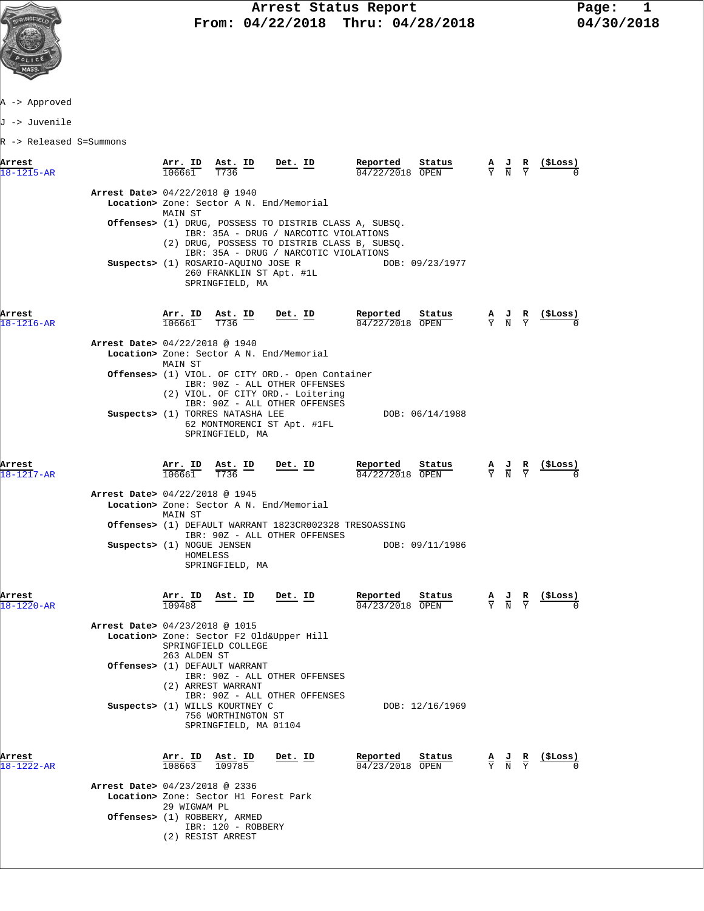

A -> Approved

J -> Juvenile

R -> Released S=Summons

| Arrest               |                                                                | Arr. ID                        | Ast. ID                                                                            | Det. ID                                                                                                                                                                                  | Reported                              | Status          | $\frac{A}{Y}$ $\frac{J}{N}$ |                                                                                                 | R                             | (ŞLoss)        |
|----------------------|----------------------------------------------------------------|--------------------------------|------------------------------------------------------------------------------------|------------------------------------------------------------------------------------------------------------------------------------------------------------------------------------------|---------------------------------------|-----------------|-----------------------------|-------------------------------------------------------------------------------------------------|-------------------------------|----------------|
| $18 - 1215 - AR$     |                                                                | 106661                         | T736                                                                               |                                                                                                                                                                                          | 04/22/2018 OPEN                       |                 |                             |                                                                                                 | $\overline{Y}$                |                |
|                      | Arrest Date> 04/22/2018 @ 1940                                 | MAIN ST                        | Location> Zone: Sector A N. End/Memorial                                           |                                                                                                                                                                                          |                                       |                 |                             |                                                                                                 |                               |                |
|                      |                                                                |                                |                                                                                    | Offenses> (1) DRUG, POSSESS TO DISTRIB CLASS A, SUBSQ.<br>IBR: 35A - DRUG / NARCOTIC VIOLATIONS<br>(2) DRUG, POSSESS TO DISTRIB CLASS B, SUBSQ.<br>IBR: 35A - DRUG / NARCOTIC VIOLATIONS |                                       |                 |                             |                                                                                                 |                               |                |
|                      |                                                                |                                | Suspects> (1) ROSARIO-AQUINO JOSE R<br>260 FRANKLIN ST Apt. #1L<br>SPRINGFIELD, MA |                                                                                                                                                                                          |                                       | DOB: 09/23/1977 |                             |                                                                                                 |                               |                |
| Arrest<br>18-1216-AR |                                                                | Arr. ID<br>106661              | $\underbrace{\text{Ast.}}$ ID<br>T736                                              | Det. ID                                                                                                                                                                                  | Reported<br>04/22/2018 OPEN           | Status          |                             | $\frac{\mathbf{A}}{\mathbf{Y}}$ $\frac{\mathbf{J}}{\mathbf{N}}$ $\frac{\mathbf{R}}{\mathbf{Y}}$ |                               |                |
|                      | Arrest Date> 04/22/2018 @ 1940                                 | MAIN ST                        | Location> Zone: Sector A N. End/Memorial                                           |                                                                                                                                                                                          |                                       |                 |                             |                                                                                                 |                               |                |
|                      |                                                                |                                |                                                                                    | <b>Offenses&gt;</b> (1) VIOL. OF CITY ORD.- Open Container<br>IBR: 90Z - ALL OTHER OFFENSES<br>(2) VIOL. OF CITY ORD. - Loitering<br>IBR: 90Z - ALL OTHER OFFENSES                       |                                       |                 |                             |                                                                                                 |                               |                |
|                      |                                                                |                                | Suspects> (1) TORRES NATASHA LEE<br>SPRINGFIELD, MA                                | 62 MONTMORENCI ST Apt. #1FL                                                                                                                                                              |                                       | DOB: 06/14/1988 |                             |                                                                                                 |                               |                |
| Arrest<br>18-1217-AR |                                                                | A <u>rr. ID</u><br>106661      | Ast. ID<br>T736                                                                    | <u>Det. ID</u>                                                                                                                                                                           | Reported<br>04/22/2018 OPEN           | Status          |                             | $\frac{\mathbf{A}}{\mathbf{Y}}$ $\frac{\mathbf{J}}{\mathbf{N}}$ $\frac{\mathbf{R}}{\mathbf{Y}}$ |                               | <u>(SLoss)</u> |
|                      | Arrest Date> 04/22/2018 @ 1945                                 | MAIN ST                        | Location> Zone: Sector A N. End/Memorial                                           |                                                                                                                                                                                          |                                       |                 |                             |                                                                                                 |                               |                |
|                      |                                                                |                                |                                                                                    | Offenses> (1) DEFAULT WARRANT 1823CR002328 TRESOASSING<br>IBR: 90Z - ALL OTHER OFFENSES                                                                                                  |                                       |                 |                             |                                                                                                 |                               |                |
|                      | Suspects> (1) NOGUE JENSEN                                     | HOMELESS                       | SPRINGFIELD, MA                                                                    |                                                                                                                                                                                          |                                       | DOB: 09/11/1986 |                             |                                                                                                 |                               |                |
| Arrest<br>18-1220-AR |                                                                | $\frac{\texttt{Arr.}}{109488}$ | <u>Ast. ID</u>                                                                     | <u>Det. ID</u>                                                                                                                                                                           | Reported<br>$\frac{04}{23}/2018$ OPEN | Status          |                             | $\frac{\mathbf{A}}{\mathbf{Y}}$ $\frac{\mathbf{J}}{\mathbf{N}}$ $\frac{\mathbf{R}}{\mathbf{Y}}$ |                               | <u>(SLoss)</u> |
|                      | Arrest Date> 04/23/2018 @ 1015                                 | 263 ALDEN ST                   | Location> Zone: Sector F2 Old&Upper Hill<br>SPRINGFIELD COLLEGE                    |                                                                                                                                                                                          |                                       |                 |                             |                                                                                                 |                               |                |
|                      |                                                                |                                | Offenses> (1) DEFAULT WARRANT<br>(2) ARREST WARRANT                                | IBR: 90Z - ALL OTHER OFFENSES<br>IBR: 90Z - ALL OTHER OFFENSES                                                                                                                           |                                       |                 |                             |                                                                                                 |                               |                |
|                      |                                                                |                                | Suspects> (1) WILLS KOURTNEY C<br>756 WORTHINGTON ST<br>SPRINGFIELD, MA 01104      |                                                                                                                                                                                          |                                       | DOB: 12/16/1969 |                             |                                                                                                 |                               |                |
| Arrest<br>18-1222-AR |                                                                | Arr. ID<br>108663              | Ast. ID<br>109785                                                                  | Det. ID                                                                                                                                                                                  | Reported<br>04/23/2018 OPEN           | Status          |                             | $\frac{A}{Y}$ $\frac{J}{N}$                                                                     | $rac{\mathbf{R}}{\mathbf{Y}}$ | (ŞLoss)        |
|                      | Arrest Date> 04/23/2018 @ 2336<br>Offenses> (1) ROBBERY, ARMED | 29 WIGWAM PL                   | Location> Zone: Sector H1 Forest Park<br>IBR: 120 - ROBBERY                        |                                                                                                                                                                                          |                                       |                 |                             |                                                                                                 |                               |                |
|                      |                                                                | (2) RESIST ARREST              |                                                                                    |                                                                                                                                                                                          |                                       |                 |                             |                                                                                                 |                               |                |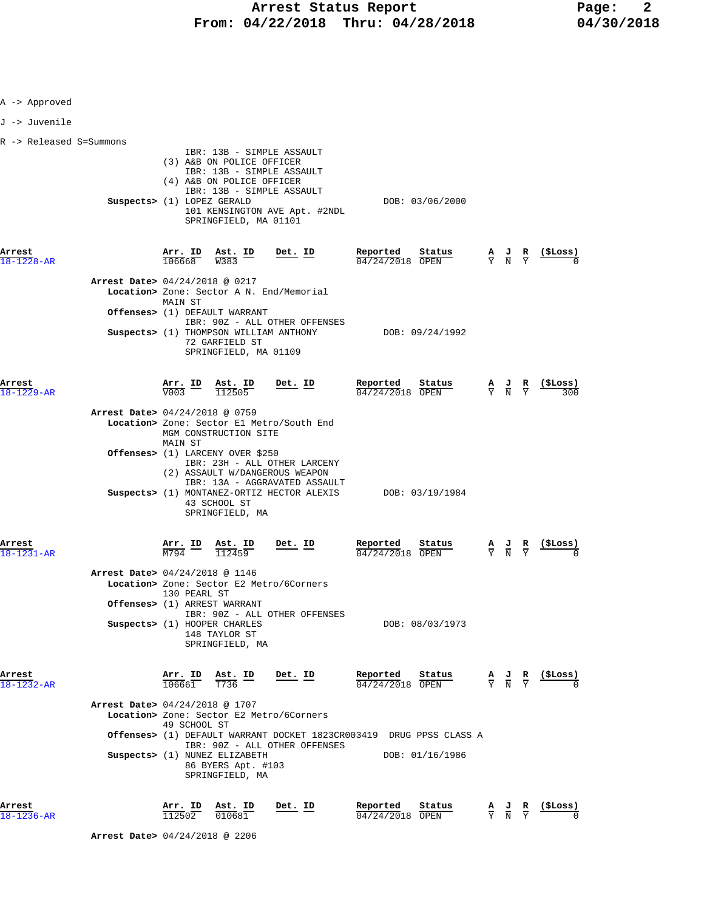| A -> Approved           |                                |                                          |                                                                                                                    |                                                                                                                                               |                                                                                        |                 |                                                                                                 |                                                                                                 |                                   |
|-------------------------|--------------------------------|------------------------------------------|--------------------------------------------------------------------------------------------------------------------|-----------------------------------------------------------------------------------------------------------------------------------------------|----------------------------------------------------------------------------------------|-----------------|-------------------------------------------------------------------------------------------------|-------------------------------------------------------------------------------------------------|-----------------------------------|
| J -> Juvenile           |                                |                                          |                                                                                                                    |                                                                                                                                               |                                                                                        |                 |                                                                                                 |                                                                                                 |                                   |
| R -> Released S=Summons | Suspects> (1) LOPEZ GERALD     |                                          | (3) A&B ON POLICE OFFICER<br>(4) A&B ON POLICE OFFICER<br>SPRINGFIELD, MA 01101                                    | IBR: 13B - SIMPLE ASSAULT<br>IBR: 13B - SIMPLE ASSAULT<br>IBR: 13B - SIMPLE ASSAULT<br>101 KENSINGTON AVE Apt. #2NDL                          |                                                                                        | DOB: 03/06/2000 |                                                                                                 |                                                                                                 |                                   |
| Arrest<br>18-1228-AR    |                                |                                          | $\frac{\texttt{Arr.}}{106668}$ $\frac{\texttt{ Ast.}}{\texttt{W}383}$ $\frac{\texttt{ID}}{\texttt{D}}$             | $Det$ . ID                                                                                                                                    | Reported<br>04/24/2018 OPEN                                                            | Status          | $\frac{\mathbf{A}}{\mathbf{Y}}$ $\frac{\mathbf{J}}{\mathbf{N}}$ $\frac{\mathbf{R}}{\mathbf{Y}}$ |                                                                                                 | $\frac{\text{(}$ SLoss $\text{)}$ |
|                         | Arrest Date> 04/24/2018 @ 0217 | MAIN ST                                  | Offenses> (1) DEFAULT WARRANT<br>Suspects> (1) THOMPSON WILLIAM ANTHONY<br>72 GARFIELD ST<br>SPRINGFIELD, MA 01109 | Location> Zone: Sector A N. End/Memorial<br>IBR: 90Z - ALL OTHER OFFENSES                                                                     |                                                                                        | DOB: 09/24/1992 |                                                                                                 |                                                                                                 |                                   |
| Arrest<br>18-1229-AR    |                                |                                          | $\frac{\text{Arr.}}{\text{V003}}$ $\frac{\text{Ast.}}{\text{112505}}$                                              | <u>Det.</u> ID                                                                                                                                | Reported<br>$04/24/2018$ OPEN                                                          | Status          |                                                                                                 | $\frac{A}{Y}$ $\frac{J}{N}$ $\frac{R}{Y}$                                                       | <u>(\$Loss)</u>                   |
|                         | Arrest Date> 04/24/2018 @ 0759 | MAIN ST                                  | MGM CONSTRUCTION SITE<br>Offenses> (1) LARCENY OVER \$250                                                          | Location> Zone: Sector El Metro/South End                                                                                                     |                                                                                        |                 |                                                                                                 |                                                                                                 |                                   |
|                         |                                |                                          | 43 SCHOOL ST<br>SPRINGFIELD, MA                                                                                    | IBR: 23H - ALL OTHER LARCENY<br>(2) ASSAULT W/DANGEROUS WEAPON<br>IBR: 13A - AGGRAVATED ASSAULT<br>Suspects> (1) MONTANEZ-ORTIZ HECTOR ALEXIS | DOB: 03/19/1984                                                                        |                 |                                                                                                 |                                                                                                 |                                   |
| Arrest<br>18-1231-AR    | Arrest Date> 04/24/2018 @ 1146 | $\frac{\texttt{Arr.}}{\texttt{M794}}$ ID | <u>Ast. ID</u><br>112459                                                                                           | Det. ID                                                                                                                                       | $\frac{\text{Reported}}{04/24/2018}$ Statu                                             | <b>Status</b>   |                                                                                                 | $\frac{\mathbf{A}}{\mathbf{Y}}$ $\frac{\mathbf{J}}{\mathbf{N}}$ $\frac{\mathbf{R}}{\mathbf{Y}}$ | <u>(SLoss)</u>                    |
|                         |                                | 130 PEARL ST                             | Offenses> (1) ARREST WARRANT<br>Suspects> (1) HOOPER CHARLES                                                       | Location> Zone: Sector E2 Metro/6Corners<br>IBR: 90Z - ALL OTHER OFFENSES                                                                     |                                                                                        | DOB: 08/03/1973 |                                                                                                 |                                                                                                 |                                   |
| Arrest                  |                                |                                          | 148 TAYLOR ST<br>SPRINGFIELD, MA<br>$\frac{\text{Arr.}}{106661}$ $\frac{\text{Ast.}}{T736}$ $\frac{\text{ID}}{T}$  | <u>Det. ID</u>                                                                                                                                | Reported                                                                               | Status          |                                                                                                 | $\frac{A}{Y}$ $\frac{J}{N}$ $\frac{R}{Y}$                                                       | (ŞLoss)                           |
| 18-1232-AR              | Arrest Date> 04/24/2018 @ 1707 | 49 SCHOOL ST                             | Suspects> (1) NUNEZ ELIZABETH<br>86 BYERS Apt. #103<br>SPRINGFIELD, MA                                             | Location> Zone: Sector E2 Metro/6Corners<br>IBR: 90Z - ALL OTHER OFFENSES                                                                     | 04/24/2018 OPEN<br>Offenses> (1) DEFAULT WARRANT DOCKET 1823CR003419 DRUG PPSS CLASS A | DOB: 01/16/1986 |                                                                                                 |                                                                                                 |                                   |
| Arrest<br>18-1236-AR    |                                | Arr. ID<br>112502                        | Ast. ID<br>010681                                                                                                  | Det. ID                                                                                                                                       | Reported<br>04/24/2018 OPEN                                                            | Status          |                                                                                                 | $\frac{\mathbf{A}}{\mathbf{Y}}$ $\frac{\mathbf{J}}{\mathbf{N}}$ $\frac{\mathbf{R}}{\mathbf{Y}}$ | (ŞLoss)                           |

 **Arrest Date>** 04/24/2018 @ 2206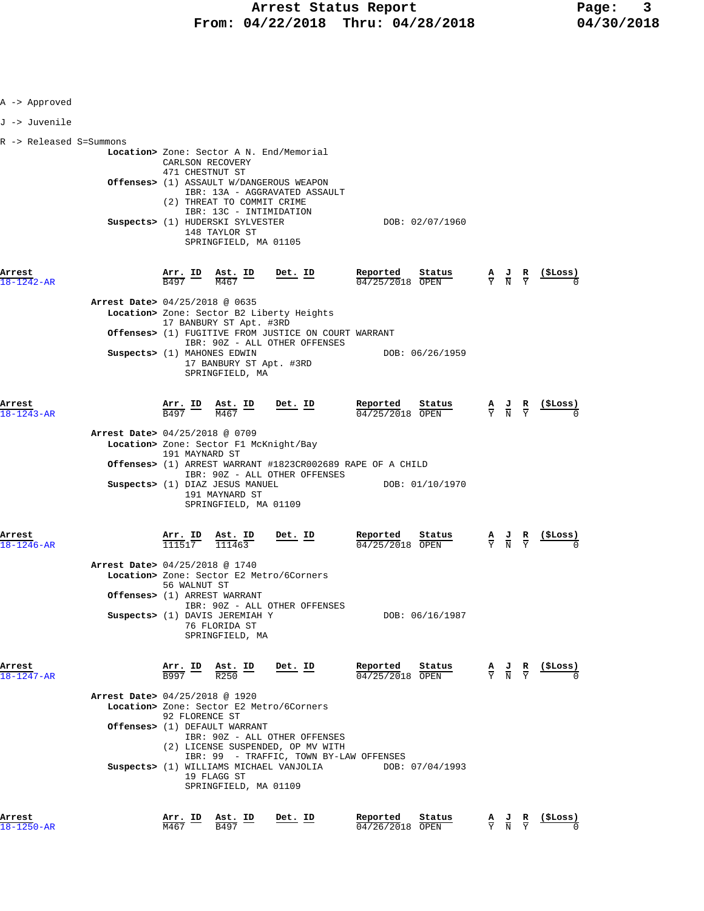| A -> Approved              |                                                                                                                                                                                                           |                                       |                                                                                                 |                                                                                                 |                                                               |
|----------------------------|-----------------------------------------------------------------------------------------------------------------------------------------------------------------------------------------------------------|---------------------------------------|-------------------------------------------------------------------------------------------------|-------------------------------------------------------------------------------------------------|---------------------------------------------------------------|
| J -> Juvenile              |                                                                                                                                                                                                           |                                       |                                                                                                 |                                                                                                 |                                                               |
| R -> Released S=Summons    | Location> Zone: Sector A N. End/Memorial<br>CARLSON RECOVERY                                                                                                                                              |                                       |                                                                                                 |                                                                                                 |                                                               |
|                            | 471 CHESTNUT ST<br>Offenses> (1) ASSAULT W/DANGEROUS WEAPON<br>IBR: 13A - AGGRAVATED ASSAULT<br>(2) THREAT TO COMMIT CRIME<br>IBR: 13C - INTIMIDATION                                                     |                                       |                                                                                                 |                                                                                                 |                                                               |
|                            | Suspects> (1) HUDERSKI SYLVESTER<br>148 TAYLOR ST<br>SPRINGFIELD, MA 01105                                                                                                                                | DOB: 02/07/1960                       |                                                                                                 |                                                                                                 |                                                               |
| Arrest<br>$18 - 1242 - AR$ | $\frac{\texttt{Arr.}}{\texttt{B497}}$ ID $\frac{\texttt{Ast.}}{\texttt{M467}}$<br><u>Det. ID</u>                                                                                                          | Reported<br>Status<br>04/25/2018 OPEN | $\frac{\mathbf{A}}{\mathbf{Y}}$ $\frac{\mathbf{J}}{\mathbf{N}}$ $\frac{\mathbf{R}}{\mathbf{Y}}$ |                                                                                                 | <u>(ŞLoss)</u>                                                |
|                            | Arrest Date> 04/25/2018 @ 0635<br>Location> Zone: Sector B2 Liberty Heights<br>17 BANBURY ST Apt. #3RD<br><b>Offenses&gt;</b> (1) FUGITIVE FROM JUSTICE ON COURT WARRANT<br>IBR: 90Z - ALL OTHER OFFENSES |                                       |                                                                                                 |                                                                                                 |                                                               |
|                            | Suspects> (1) MAHONES EDWIN<br>17 BANBURY ST Apt. #3RD<br>SPRINGFIELD, MA                                                                                                                                 | DOB: 06/26/1959                       |                                                                                                 |                                                                                                 |                                                               |
| Arrest<br>$18 - 1243 - AR$ | $\frac{\texttt{Arr.}}{\texttt{B497}}$ ID $\frac{\texttt{Ast.}}{\texttt{M467}}$<br><u>Det. ID</u>                                                                                                          | Reported<br>Status<br>04/25/2018 OPEN |                                                                                                 | $\frac{\mathbf{A}}{\mathbf{Y}}$ $\frac{\mathbf{J}}{\mathbf{N}}$ $\frac{\mathbf{R}}{\mathbf{Y}}$ | <u>(\$Loss)</u>                                               |
|                            | Arrest Date> 04/25/2018 @ 0709<br>Location> Zone: Sector F1 McKnight/Bay<br>191 MAYNARD ST<br><b>Offenses&gt;</b> (1) ARREST WARRANT #1823CR002689 RAPE OF A CHILD                                        |                                       |                                                                                                 |                                                                                                 |                                                               |
|                            | IBR: 90Z - ALL OTHER OFFENSES<br>Suspects> (1) DIAZ JESUS MANUEL<br>191 MAYNARD ST<br>SPRINGFIELD, MA 01109                                                                                               | DOB: 01/10/1970                       |                                                                                                 |                                                                                                 |                                                               |
| Arrest<br>$18 - 1246 - AR$ | Arr. ID Ast. ID<br>Det. ID<br>$111517$ $111463$                                                                                                                                                           | Reported<br>Status<br>04/25/2018 OPEN |                                                                                                 | $\frac{\mathbf{A}}{\mathbf{Y}}$ $\frac{\mathbf{J}}{\mathbf{N}}$ $\frac{\mathbf{R}}{\mathbf{Y}}$ | (ŞLoss)                                                       |
|                            | Arrest Date> 04/25/2018 @ 1740<br>Location> Zone: Sector E2 Metro/6Corners<br>56 WALNUT ST                                                                                                                |                                       |                                                                                                 |                                                                                                 |                                                               |
|                            | <b>Offenses&gt;</b> (1) ARREST WARRANT<br>IBR: 90Z - ALL OTHER OFFENSES<br>Suspects> (1) DAVIS JEREMIAH Y<br>76 FLORIDA ST<br>SPRINGFIELD, MA                                                             | DOB: 06/16/1987                       |                                                                                                 |                                                                                                 |                                                               |
| Arrest<br>$18 - 1247 - AR$ | $\frac{\texttt{Arr.}}{\texttt{B997}}$ $\frac{\texttt{lab}}{\texttt{R250}}$ $\frac{\texttt{ID}}{\texttt{R250}}$<br>Det. ID                                                                                 | Reported Status<br>$04/25/2018$ OPEN  |                                                                                                 |                                                                                                 | $\frac{A}{Y}$ $\frac{J}{N}$ $\frac{R}{Y}$ $\frac{($Loss)}{0}$ |
|                            | Arrest Date> 04/25/2018 @ 1920<br>Location> Zone: Sector E2 Metro/6Corners<br>92 FLORENCE ST                                                                                                              |                                       |                                                                                                 |                                                                                                 |                                                               |
|                            | <b>Offenses&gt;</b> (1) DEFAULT WARRANT<br>IBR: 90Z - ALL OTHER OFFENSES<br>(2) LICENSE SUSPENDED, OP MV WITH<br>IBR: 99 - TRAFFIC, TOWN BY-LAW OFFENSES                                                  |                                       |                                                                                                 |                                                                                                 |                                                               |
|                            | Suspects> (1) WILLIAMS MICHAEL VANJOLIA DOB: 07/04/1993<br>19 FLAGG ST<br>SPRINGFIELD, MA 01109                                                                                                           |                                       |                                                                                                 |                                                                                                 |                                                               |
| Arrest<br>$18 - 1250 - AR$ | $\frac{\texttt{Arr.}}{\texttt{M467}}$ ID $\frac{\texttt{Ast.}}{\texttt{B497}}$<br><u>Det. ID</u>                                                                                                          | Reported<br>Status<br>04/26/2018 OPEN |                                                                                                 | $\frac{\mathbf{A}}{\mathbf{Y}}$ $\frac{\mathbf{J}}{\mathbf{N}}$ $\frac{\mathbf{R}}{\mathbf{Y}}$ | ( <b>SLoss</b> )                                              |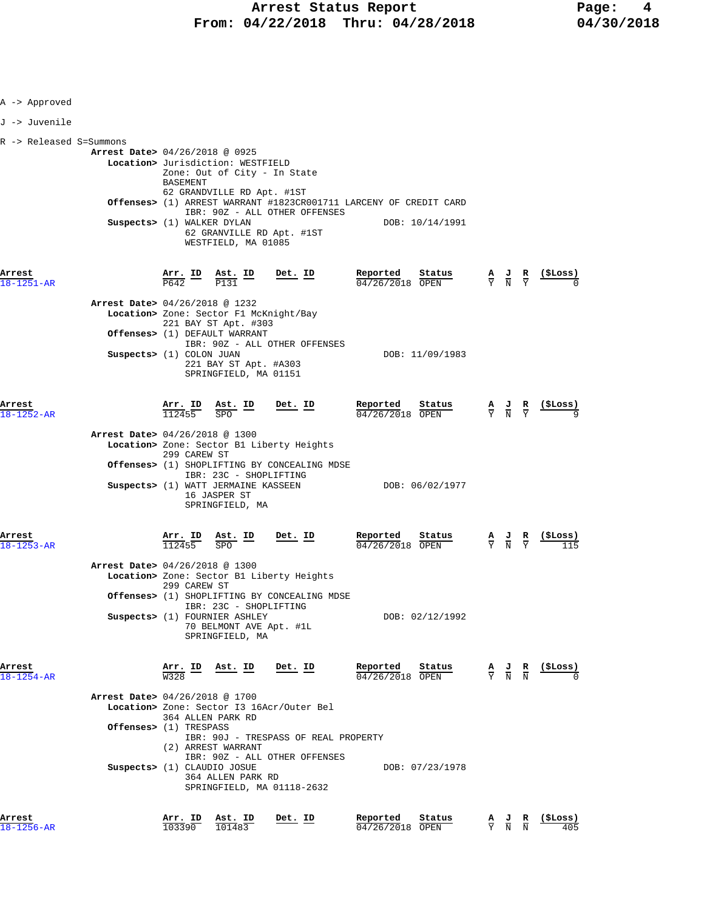| A -> Approved              |                                                                                                                                                                                                                                                                                                                                                 |                                         |                                                                                                                    |
|----------------------------|-------------------------------------------------------------------------------------------------------------------------------------------------------------------------------------------------------------------------------------------------------------------------------------------------------------------------------------------------|-----------------------------------------|--------------------------------------------------------------------------------------------------------------------|
| J -> Juvenile              |                                                                                                                                                                                                                                                                                                                                                 |                                         |                                                                                                                    |
| R -> Released S=Summons    | Arrest Date> 04/26/2018 @ 0925<br>Location> Jurisdiction: WESTFIELD<br>Zone: Out of City - In State<br>BASEMENT<br>62 GRANDVILLE RD Apt. #1ST<br><b>Offenses&gt;</b> (1) ARREST WARRANT #1823CR001711 LARCENY OF CREDIT CARD<br>IBR: 90Z - ALL OTHER OFFENSES<br>Suspects> (1) WALKER DYLAN<br>62 GRANVILLE RD Apt. #1ST<br>WESTFIELD, MA 01085 | DOB: 10/14/1991                         |                                                                                                                    |
| Arrest<br>18-1251-AR       | Det. ID<br>$\frac{\texttt{Arr.}}{\texttt{P642}}$ ID<br>Ast. ID<br>$\frac{1}{\sqrt{2131}}$<br>P131                                                                                                                                                                                                                                               | Reported<br>Status<br>04/26/2018 OPEN   | (ŞLoss)<br>$\frac{\mathbf{A}}{\mathbf{Y}}$ $\frac{\mathbf{J}}{\mathbf{N}}$ $\frac{\mathbf{R}}{\mathbf{Y}}$         |
|                            | Arrest Date> 04/26/2018 @ 1232<br>Location> Zone: Sector F1 McKnight/Bay<br>221 BAY ST Apt. #303<br>Offenses> (1) DEFAULT WARRANT<br>IBR: 90Z - ALL OTHER OFFENSES<br>Suspects> (1) COLON JUAN<br>221 BAY ST Apt. #A303<br>SPRINGFIELD, MA 01151                                                                                                | DOB: 11/09/1983                         |                                                                                                                    |
| Arrest<br>18-1252-AR       | Arr. ID Ast. ID<br>$Det$ . ID<br>112455<br><b>SPO</b>                                                                                                                                                                                                                                                                                           | Reported<br>Status<br>$04/26/2018$ OPEN | $\frac{\mathbf{A}}{\mathbf{Y}}$ $\frac{\mathbf{J}}{\mathbf{N}}$ $\frac{\mathbf{R}}{\mathbf{Y}}$<br>(ŞLoss)         |
|                            | Arrest Date> 04/26/2018 @ 1300<br>Location> Zone: Sector B1 Liberty Heights<br>299 CAREW ST<br>Offenses> (1) SHOPLIFTING BY CONCEALING MDSE<br>IBR: 23C - SHOPLIFTING<br>Suspects> (1) WATT JERMAINE KASSEEN<br>16 JASPER ST<br>SPRINGFIELD, MA                                                                                                 | DOB: 06/02/1977                         |                                                                                                                    |
| Arrest<br>18-1253-AR       | $Det$ . ID<br><u>Arr. ID</u><br>$\underline{\text{Ast.}}$ ID<br>112455<br><b>SPO</b>                                                                                                                                                                                                                                                            | Reported<br>Status<br>$04/26/2018$ OPEN | $\frac{A}{Y}$ $\frac{J}{N}$<br>$\frac{R}{Y}$                                                                       |
|                            | Arrest Date> 04/26/2018 @ 1300<br>Location> Zone: Sector B1 Liberty Heights<br>299 CAREW ST<br>Offenses> (1) SHOPLIFTING BY CONCEALING MDSE<br>IBR: 23C - SHOPLIFTING<br>Suspects> (1) FOURNIER ASHLEY<br>70 BELMONT AVE Apt. #1L<br>SPRINGFIELD, MA                                                                                            | DOB: 02/12/1992                         |                                                                                                                    |
| Arrest<br>$18 - 1254 - AR$ | <u>Arr. ID</u><br><u>Ast. ID</u><br><u>Det. ID</u><br>W328                                                                                                                                                                                                                                                                                      | Reported<br>Status<br>04/26/2018 OPEN   | (\$Loss)<br>$\frac{\mathbf{A}}{\mathbf{Y}}$ $\frac{\mathbf{J}}{\mathbf{N}}$ $\frac{\mathbf{R}}{\mathbf{N}}$        |
|                            | <b>Arrest Date&gt; 04/26/2018 @ 1700</b><br>Location> Zone: Sector I3 16Acr/Outer Bel<br>364 ALLEN PARK RD<br>Offenses> (1) TRESPASS                                                                                                                                                                                                            |                                         |                                                                                                                    |
|                            | IBR: 90J - TRESPASS OF REAL PROPERTY<br>(2) ARREST WARRANT<br>IBR: 90Z - ALL OTHER OFFENSES<br>Suspects> (1) CLAUDIO JOSUE<br>364 ALLEN PARK RD<br>SPRINGFIELD, MA 01118-2632                                                                                                                                                                   | DOB: 07/23/1978                         |                                                                                                                    |
| Arrest<br>$18 - 1256 - AR$ | Arr. ID<br>Ast. ID<br>Det. ID<br>103390<br>101483                                                                                                                                                                                                                                                                                               | Reported<br>Status<br>04/26/2018 OPEN   | (\$Loss)<br>$\frac{\mathbf{A}}{\mathbf{Y}}$ $\frac{\mathbf{J}}{\mathbf{N}}$ $\frac{\mathbf{R}}{\mathbf{N}}$<br>405 |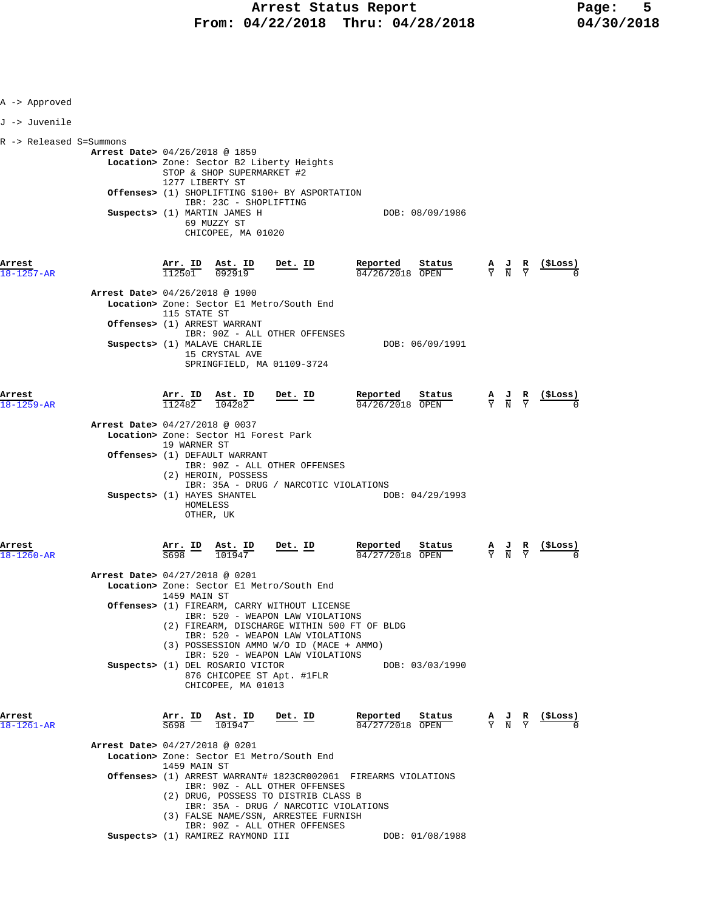| A -> Approved              |                                                                                                                                                         |                                                                                                              |                                                                                                                                                                                                               |                                                                          |                                                                                                 |                                                                                                          |
|----------------------------|---------------------------------------------------------------------------------------------------------------------------------------------------------|--------------------------------------------------------------------------------------------------------------|---------------------------------------------------------------------------------------------------------------------------------------------------------------------------------------------------------------|--------------------------------------------------------------------------|-------------------------------------------------------------------------------------------------|----------------------------------------------------------------------------------------------------------|
| J -> Juvenile              |                                                                                                                                                         |                                                                                                              |                                                                                                                                                                                                               |                                                                          |                                                                                                 |                                                                                                          |
| R -> Released S=Summons    | <b>Arrest Date&gt;</b> 04/26/2018 @ 1859<br>Suspects> (1) MARTIN JAMES H                                                                                | STOP & SHOP SUPERMARKET #2<br>1277 LIBERTY ST<br>IBR: 23C - SHOPLIFTING<br>69 MUZZY ST<br>CHICOPEE, MA 01020 | Location> Zone: Sector B2 Liberty Heights<br>Offenses> (1) SHOPLIFTING \$100+ BY ASPORTATION                                                                                                                  | DOB: 08/09/1986                                                          |                                                                                                 |                                                                                                          |
| Arrest<br>$18 - 1257 - AR$ | <u>Arr.</u> ID<br>$\frac{1125}{112501}$<br>Arrest Date> 04/26/2018 @ 1900                                                                               | $\frac{\texttt{Ast. ID}}{092919}$                                                                            | $Det. ID$                                                                                                                                                                                                     | Reported<br>$04/26/2018$ OPEN                                            |                                                                                                 | $\frac{\text{status}}{\text{OPEN}}$ $\frac{A}{Y}$ $\frac{J}{N}$ $\frac{R}{Y}$ $\frac{(\text{SLoss})}{0}$ |
|                            | 115 STATE ST<br>Offenses> (1) ARREST WARRANT<br>Suspects> (1) MALAVE CHARLIE                                                                            | 15 CRYSTAL AVE                                                                                               | Location> Zone: Sector El Metro/South End<br>IBR: 90Z - ALL OTHER OFFENSES<br>SPRINGFIELD, MA 01109-3724                                                                                                      | DOB: 06/09/1991                                                          |                                                                                                 |                                                                                                          |
| Arrest<br>$8 - 1259 - AR$  |                                                                                                                                                         | $\frac{\text{Arr.}}{112482}$ $\frac{\text{dst. ID}}{104282}$ Det. ID                                         |                                                                                                                                                                                                               | <u>Reported</u><br>Status<br>04/26/2018 OPEN                             |                                                                                                 | $\frac{A}{Y}$ $\frac{J}{N}$ $\frac{R}{Y}$ $\frac{($Loss)}{0}$                                            |
|                            | Arrest Date> 04/27/2018 @ 0037<br>Location> Zone: Sector H1 Forest Park<br>19 WARNER ST<br>Offenses> (1) DEFAULT WARRANT<br>Suspects> (1) HAYES SHANTEL | (2) HEROIN, POSSESS<br>HOMELESS<br>OTHER, UK                                                                 | IBR: 90Z - ALL OTHER OFFENSES<br>IBR: 35A - DRUG / NARCOTIC VIOLATIONS                                                                                                                                        | DOB: 04/29/1993                                                          |                                                                                                 |                                                                                                          |
| Arrest<br>$18 - 1260 - AR$ | $\frac{\texttt{Arr.}}{\texttt{S698}}$ ID                                                                                                                | $\frac{\text{Ast. ID}}{101947}$ Det. ID                                                                      |                                                                                                                                                                                                               | Reported<br>Status<br>04/27/2018 OPEN                                    | $\frac{A}{Y}$ $\frac{J}{N}$ $\frac{R}{Y}$                                                       |                                                                                                          |
|                            | Arrest Date> 04/27/2018 @ 0201<br>1459 MAIN ST                                                                                                          |                                                                                                              | Location> Zone: Sector El Metro/South End<br>Offenses> (1) FIREARM, CARRY WITHOUT LICENSE<br>IBR: 520 - WEAPON LAW VIOLATIONS<br>IBR: 520 - WEAPON LAW VIOLATIONS<br>(3) POSSESSION AMMO W/O ID (MACE + AMMO) | (2) FIREARM, DISCHARGE WITHIN 500 FT OF BLDG                             |                                                                                                 |                                                                                                          |
|                            | Suspects> (1) DEL ROSARIO VICTOR                                                                                                                        | CHICOPEE, MA 01013                                                                                           | IBR: 520 - WEAPON LAW VIOLATIONS<br>876 CHICOPEE ST Apt. #1FLR                                                                                                                                                | DOB: 03/03/1990                                                          |                                                                                                 |                                                                                                          |
| Arrest<br>$18 - 1261 - AR$ | 5698                                                                                                                                                    | Arr. ID Ast. ID<br>101947                                                                                    | Det. ID                                                                                                                                                                                                       | Reported<br>Status<br>$04/27/2018$ OPEN                                  | $\frac{\mathbf{A}}{\mathbf{Y}}$ $\frac{\mathbf{J}}{\mathbf{N}}$ $\frac{\mathbf{R}}{\mathbf{Y}}$ | $($ \$Loss)                                                                                              |
|                            | Arrest Date> 04/27/2018 @ 0201<br>1459 MAIN ST                                                                                                          |                                                                                                              | Location> Zone: Sector El Metro/South End<br>IBR: 90Z - ALL OTHER OFFENSES<br>(2) DRUG, POSSESS TO DISTRIB CLASS B<br>IBR: 35A - DRUG / NARCOTIC VIOLATIONS<br>(3) FALSE NAME/SSN, ARRESTEE FURNISH           | <b>Offenses&gt;</b> (1) ARREST WARRANT# 1823CR002061 FIREARMS VIOLATIONS |                                                                                                 |                                                                                                          |
|                            | Suspects> (1) RAMIREZ RAYMOND III                                                                                                                       |                                                                                                              | IBR: 90Z - ALL OTHER OFFENSES                                                                                                                                                                                 | DOB: 01/08/1988                                                          |                                                                                                 |                                                                                                          |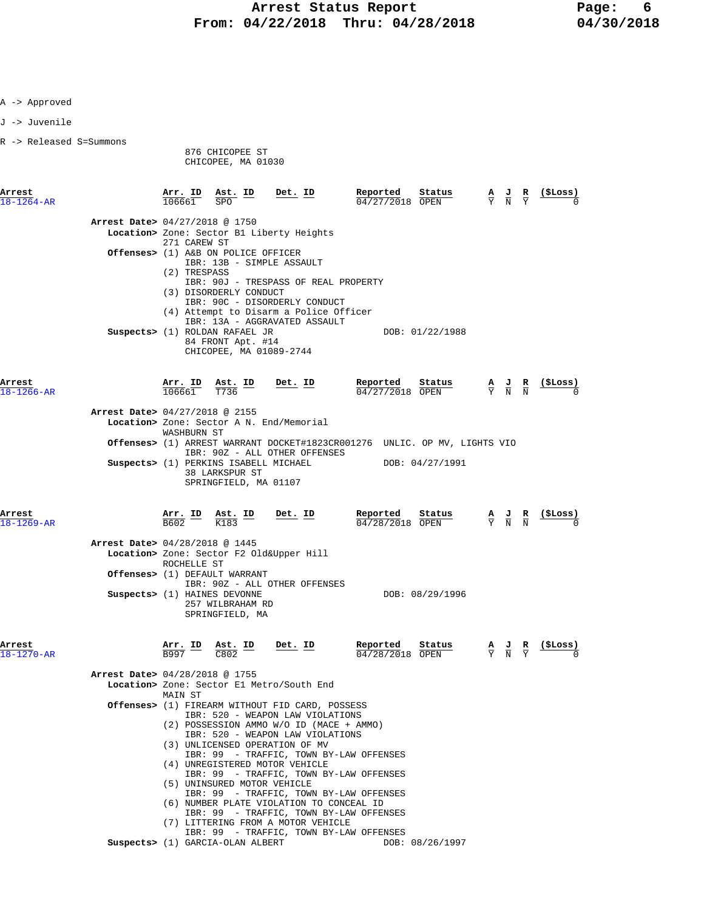|  | -> Approved |
|--|-------------|
|--|-------------|

J -> Juvenile

R -> Released S=Summons

876 CHICOPEE ST

CHICOPEE, MA 01030

| Arrest<br>$18 - 1264 - AR$     | Arr. ID<br>106661                        | Ast. ID<br>SPO                                                                                           | Det. ID                                                                                                                                                                                                                                                                                                                                                                                                                                                                                                                                          | Reported<br>04/27/2018 OPEN                  | Status          | $\frac{A}{Y}$ $\frac{J}{N}$                                                                     | R                                                                                               | (ŞLoss)         |
|--------------------------------|------------------------------------------|----------------------------------------------------------------------------------------------------------|--------------------------------------------------------------------------------------------------------------------------------------------------------------------------------------------------------------------------------------------------------------------------------------------------------------------------------------------------------------------------------------------------------------------------------------------------------------------------------------------------------------------------------------------------|----------------------------------------------|-----------------|-------------------------------------------------------------------------------------------------|-------------------------------------------------------------------------------------------------|-----------------|
| Arrest Date> 04/27/2018 @ 1750 | 271 CAREW ST                             |                                                                                                          | Location> Zone: Sector B1 Liberty Heights                                                                                                                                                                                                                                                                                                                                                                                                                                                                                                        |                                              |                 |                                                                                                 |                                                                                                 |                 |
|                                | (2) TRESPASS                             | Offenses> (1) A&B ON POLICE OFFICER                                                                      | IBR: 13B - SIMPLE ASSAULT                                                                                                                                                                                                                                                                                                                                                                                                                                                                                                                        |                                              |                 |                                                                                                 |                                                                                                 |                 |
|                                |                                          | (3) DISORDERLY CONDUCT<br>Suspects> (1) ROLDAN RAFAEL JR<br>84 FRONT Apt. #14<br>CHICOPEE, MA 01089-2744 | IBR: 90J - TRESPASS OF REAL PROPERTY<br>IBR: 90C - DISORDERLY CONDUCT<br>(4) Attempt to Disarm a Police Officer<br>IBR: 13A - AGGRAVATED ASSAULT                                                                                                                                                                                                                                                                                                                                                                                                 |                                              | DOB: 01/22/1988 |                                                                                                 |                                                                                                 |                 |
| Arrest<br>$18 - 1266 - AR$     |                                          |                                                                                                          | $\frac{\texttt{Arr. ID}}{106661}$ $\frac{\texttt{Ast. ID}}{T736}$ Det. ID                                                                                                                                                                                                                                                                                                                                                                                                                                                                        | Reported Status<br>$\frac{04}{27}{27}$       |                 | $\frac{\mathbf{A}}{\mathbf{Y}}$ $\frac{\mathbf{J}}{\mathbf{N}}$ $\frac{\mathbf{R}}{\mathbf{N}}$ |                                                                                                 |                 |
| Arrest Date> 04/27/2018 @ 2155 | WASHBURN ST                              |                                                                                                          | Location> Zone: Sector A N. End/Memorial                                                                                                                                                                                                                                                                                                                                                                                                                                                                                                         |                                              |                 |                                                                                                 |                                                                                                 |                 |
|                                |                                          |                                                                                                          | Offenses> (1) ARREST WARRANT DOCKET#1823CR001276 UNLIC. OP MV, LIGHTS VIO<br>IBR: 90Z - ALL OTHER OFFENSES                                                                                                                                                                                                                                                                                                                                                                                                                                       |                                              |                 |                                                                                                 |                                                                                                 |                 |
|                                |                                          | Suspects> (1) PERKINS ISABELL MICHAEL<br>38 LARKSPUR ST<br>SPRINGFIELD, MA 01107                         |                                                                                                                                                                                                                                                                                                                                                                                                                                                                                                                                                  |                                              | DOB: 04/27/1991 |                                                                                                 |                                                                                                 |                 |
| Arrest<br>$18 - 1269 - AR$     |                                          | $\frac{\text{Arr.}}{\text{B602}}$ ID $\frac{\text{Ast.}}{\text{K183}}$ ID Det. ID                        |                                                                                                                                                                                                                                                                                                                                                                                                                                                                                                                                                  | Reported Status<br>$\frac{04}{28/2018}$ OPEN | Status          |                                                                                                 | $\frac{\mathbf{A}}{\mathbf{Y}}$ $\frac{\mathbf{J}}{\mathbf{N}}$ $\frac{\mathbf{R}}{\mathbf{N}}$ | <u>(\$Loss)</u> |
| Arrest Date> 04/28/2018 @ 1445 | ROCHELLE ST                              |                                                                                                          | Location> Zone: Sector F2 Old&Upper Hill                                                                                                                                                                                                                                                                                                                                                                                                                                                                                                         |                                              |                 |                                                                                                 |                                                                                                 |                 |
|                                |                                          | Offenses> (1) DEFAULT WARRANT<br>Suspects> (1) HAINES DEVONNE<br>257 WILBRAHAM RD<br>SPRINGFIELD, MA     | IBR: 90Z - ALL OTHER OFFENSES                                                                                                                                                                                                                                                                                                                                                                                                                                                                                                                    |                                              | DOB: 08/29/1996 |                                                                                                 |                                                                                                 |                 |
| Arrest<br>$18 - 1270 - AR$     | $\frac{\texttt{Arr.}}{\texttt{B997}}$ ID | $\frac{\texttt{Ast. ID}}{\texttt{C802}}$                                                                 | Det. ID                                                                                                                                                                                                                                                                                                                                                                                                                                                                                                                                          | Reported<br>$04/28/2018$ OPEN                | Status          | $\frac{A}{Y}$ $\frac{J}{N}$ $\frac{R}{Y}$                                                       |                                                                                                 |                 |
| Arrest Date> 04/28/2018 @ 1755 |                                          |                                                                                                          |                                                                                                                                                                                                                                                                                                                                                                                                                                                                                                                                                  |                                              |                 |                                                                                                 |                                                                                                 |                 |
|                                | MAIN ST                                  |                                                                                                          | Location> Zone: Sector El Metro/South End                                                                                                                                                                                                                                                                                                                                                                                                                                                                                                        |                                              |                 |                                                                                                 |                                                                                                 |                 |
|                                |                                          | (5) UNINSURED MOTOR VEHICLE                                                                              | Offenses> (1) FIREARM WITHOUT FID CARD, POSSESS<br>IBR: 520 - WEAPON LAW VIOLATIONS<br>(2) POSSESSION AMMO W/O ID (MACE + AMMO)<br>IBR: 520 - WEAPON LAW VIOLATIONS<br>(3) UNLICENSED OPERATION OF MV<br>IBR: 99 - TRAFFIC, TOWN BY-LAW OFFENSES<br>(4) UNREGISTERED MOTOR VEHICLE<br>IBR: 99 - TRAFFIC, TOWN BY-LAW OFFENSES<br>IBR: 99 - TRAFFIC, TOWN BY-LAW OFFENSES<br>(6) NUMBER PLATE VIOLATION TO CONCEAL ID<br>IBR: 99 - TRAFFIC, TOWN BY-LAW OFFENSES<br>(7) LITTERING FROM A MOTOR VEHICLE<br>IBR: 99 - TRAFFIC, TOWN BY-LAW OFFENSES |                                              |                 |                                                                                                 |                                                                                                 |                 |

 **Suspects>** (1) GARCIA-OLAN ALBERT DOB: 08/26/1997